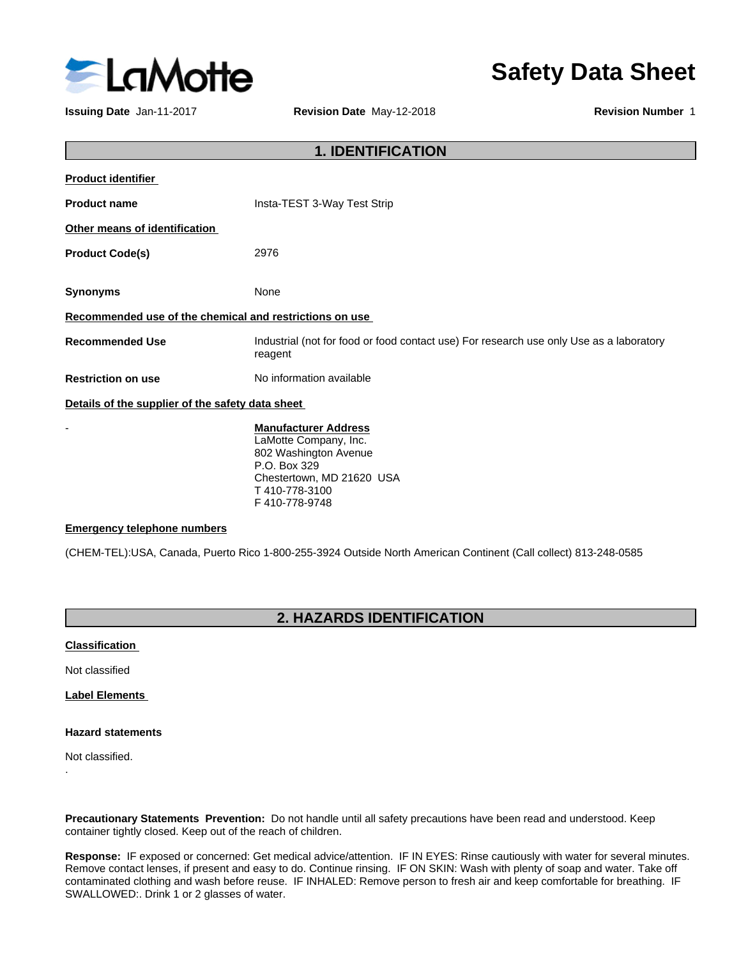

**Issuing Date** Jan-11-2017 **Revision Date** May-12-2018 **Revision Number** 1

**Safety Data Sheet**

| <b>1. IDENTIFICATION</b>                                |                                                                                                    |  |
|---------------------------------------------------------|----------------------------------------------------------------------------------------------------|--|
| <b>Product identifier</b>                               |                                                                                                    |  |
| <b>Product name</b>                                     | Insta-TEST 3-Way Test Strip                                                                        |  |
| Other means of identification                           |                                                                                                    |  |
| <b>Product Code(s)</b>                                  | 2976                                                                                               |  |
| <b>Synonyms</b>                                         | None                                                                                               |  |
| Recommended use of the chemical and restrictions on use |                                                                                                    |  |
| <b>Recommended Use</b>                                  | Industrial (not for food or food contact use) For research use only Use as a laboratory<br>reagent |  |
| <b>Restriction on use</b>                               | No information available                                                                           |  |
| Details of the supplier of the safety data sheet        |                                                                                                    |  |
|                                                         | ______                                                                                             |  |

- **Manufacturer Address** LaMotte Company, Inc. 802 Washington Avenue P.O. Box 329 Chestertown, MD 21620 USA T 410-778-3100 F 410-778-9748

#### **Emergency telephone numbers**

(CHEM-TEL):USA, Canada, Puerto Rico 1-800-255-3924 Outside North American Continent (Call collect) 813-248-0585

### **2. HAZARDS IDENTIFICATION**

#### **Classification**

Not classified

**Label Elements**

#### **Hazard statements**

Not classified.

.

**Precautionary Statements Prevention:** Do not handle until all safety precautions have been read and understood. Keep container tightly closed. Keep out of the reach of children.

**Response:** IF exposed orconcerned: Get medical advice/attention. IF IN EYES: Rinse cautiously with water for several minutes. Remove contact lenses, if present and easy to do. Continue rinsing. IF ON SKIN: Wash with plenty of soap and water. Take off contaminated clothing and wash before reuse. IF INHALED: Remove person to fresh air and keep comfortable for breathing. IF SWALLOWED:. Drink 1 or 2 glasses of water.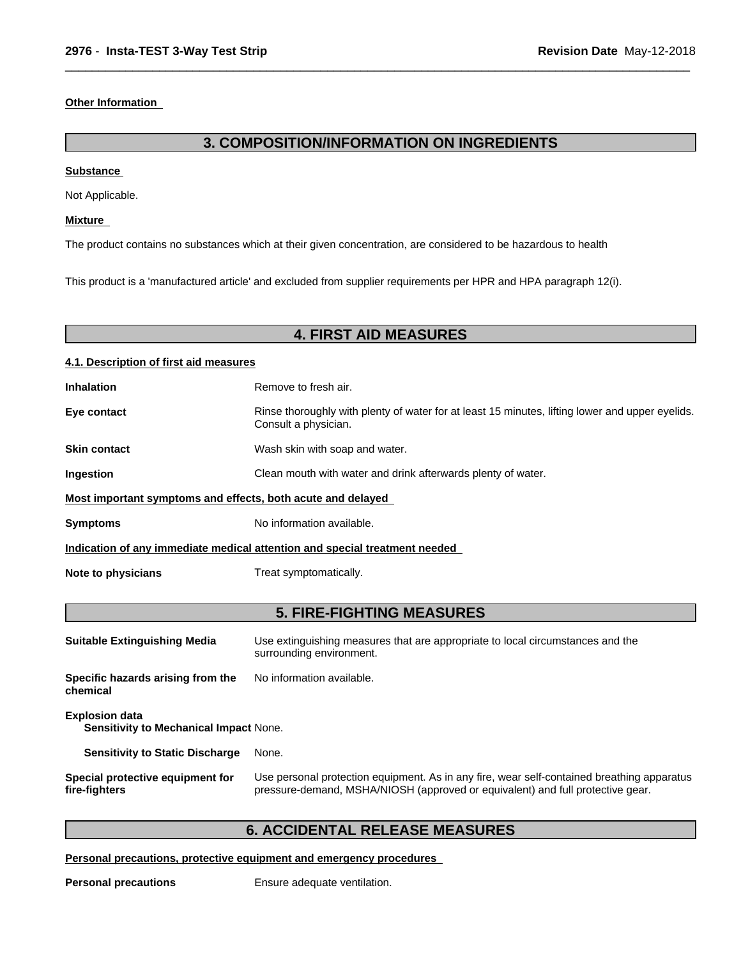#### **Other Information**

### **3. COMPOSITION/INFORMATION ON INGREDIENTS**

 $\overline{\phantom{a}}$  ,  $\overline{\phantom{a}}$  ,  $\overline{\phantom{a}}$  ,  $\overline{\phantom{a}}$  ,  $\overline{\phantom{a}}$  ,  $\overline{\phantom{a}}$  ,  $\overline{\phantom{a}}$  ,  $\overline{\phantom{a}}$  ,  $\overline{\phantom{a}}$  ,  $\overline{\phantom{a}}$  ,  $\overline{\phantom{a}}$  ,  $\overline{\phantom{a}}$  ,  $\overline{\phantom{a}}$  ,  $\overline{\phantom{a}}$  ,  $\overline{\phantom{a}}$  ,  $\overline{\phantom{a}}$ 

#### **Substance**

Not Applicable.

#### **Mixture**

The product contains no substances which at their given concentration, are considered to be hazardous to health

This product is a 'manufactured article' and excluded from supplier requirements per HPR and HPA paragraph 12(i).

# **4. FIRST AID MEASURES**

#### **4.1. Description of first aid measures**

| <b>Inhalation</b>                                                          | Remove to fresh air.                                                                                                    |  |
|----------------------------------------------------------------------------|-------------------------------------------------------------------------------------------------------------------------|--|
| Eye contact                                                                | Rinse thoroughly with plenty of water for at least 15 minutes, lifting lower and upper eyelids.<br>Consult a physician. |  |
| <b>Skin contact</b>                                                        | Wash skin with soap and water.                                                                                          |  |
| <b>Ingestion</b>                                                           | Clean mouth with water and drink afterwards plenty of water.                                                            |  |
| Most important symptoms and effects, both acute and delayed                |                                                                                                                         |  |
| <b>Symptoms</b>                                                            | No information available.                                                                                               |  |
| Indication of any immediate medical attention and special treatment needed |                                                                                                                         |  |
| Note to physicians                                                         | Treat symptomatically.                                                                                                  |  |

### **5. FIRE-FIGHTING MEASURES**

| <b>Suitable Extinguishing Media</b>                                        | Use extinguishing measures that are appropriate to local circumstances and the<br>surrounding environment.                                                                   |
|----------------------------------------------------------------------------|------------------------------------------------------------------------------------------------------------------------------------------------------------------------------|
| No information available.<br>Specific hazards arising from the<br>chemical |                                                                                                                                                                              |
| <b>Explosion data</b><br><b>Sensitivity to Mechanical Impact None.</b>     |                                                                                                                                                                              |
| <b>Sensitivity to Static Discharge</b>                                     | None.                                                                                                                                                                        |
| Special protective equipment for<br>fire-fighters                          | Use personal protection equipment. As in any fire, wear self-contained breathing apparatus<br>pressure-demand, MSHA/NIOSH (approved or equivalent) and full protective gear. |

# **6. ACCIDENTAL RELEASE MEASURES**

**Personal precautions, protective equipment and emergency procedures**

**Personal precautions** Ensure adequate ventilation.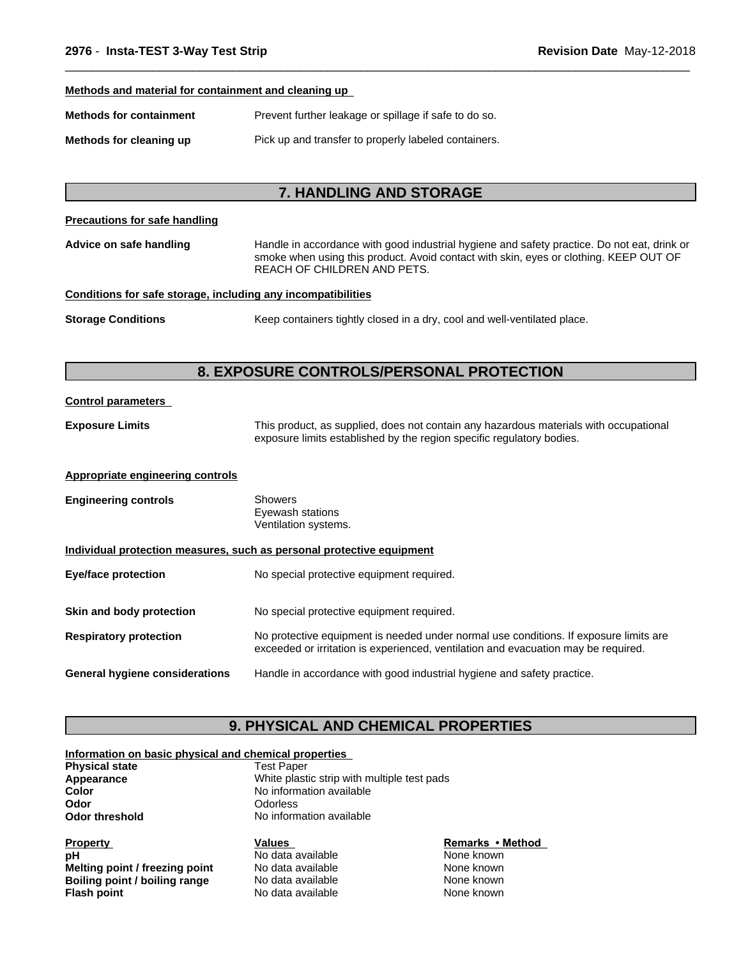#### **Methods and material for containment and cleaning up**

| Prevent further leakage or spillage if safe to do so.<br>Methods for containment |  |
|----------------------------------------------------------------------------------|--|
|----------------------------------------------------------------------------------|--|

**Methods for cleaning up** Pick up and transfer to properly labeled containers.

# **7. HANDLING AND STORAGE**

 $\overline{\phantom{a}}$  ,  $\overline{\phantom{a}}$  ,  $\overline{\phantom{a}}$  ,  $\overline{\phantom{a}}$  ,  $\overline{\phantom{a}}$  ,  $\overline{\phantom{a}}$  ,  $\overline{\phantom{a}}$  ,  $\overline{\phantom{a}}$  ,  $\overline{\phantom{a}}$  ,  $\overline{\phantom{a}}$  ,  $\overline{\phantom{a}}$  ,  $\overline{\phantom{a}}$  ,  $\overline{\phantom{a}}$  ,  $\overline{\phantom{a}}$  ,  $\overline{\phantom{a}}$  ,  $\overline{\phantom{a}}$ 

| Precautions for safe handling                                |                                                                                                                                                                                                                     |  |
|--------------------------------------------------------------|---------------------------------------------------------------------------------------------------------------------------------------------------------------------------------------------------------------------|--|
| Advice on safe handling                                      | Handle in accordance with good industrial hygiene and safety practice. Do not eat, drink or<br>smoke when using this product. Avoid contact with skin, eyes or clothing. KEEP OUT OF<br>REACH OF CHILDREN AND PETS. |  |
| Conditions for safe storage, including any incompatibilities |                                                                                                                                                                                                                     |  |
| <b>Storage Conditions</b>                                    | Keep containers tightly closed in a dry, cool and well-ventilated place.                                                                                                                                            |  |
|                                                              | 8. EXPOSURE CONTROLS/PERSONAL PROTECTION                                                                                                                                                                            |  |
| <b>Control parameters</b>                                    |                                                                                                                                                                                                                     |  |
| <b>Exposure Limits</b>                                       | This product, as supplied, does not contain any hazardous materials with occupational<br>exposure limits established by the region specific regulatory bodies.                                                      |  |
| Appropriate engineering controls                             |                                                                                                                                                                                                                     |  |
| <b>Engineering controls</b>                                  | <b>Showers</b><br>Eyewash stations<br>Ventilation systems.                                                                                                                                                          |  |
|                                                              | Individual protection measures, such as personal protective equipment                                                                                                                                               |  |
| <b>Eye/face protection</b>                                   | No special protective equipment required.                                                                                                                                                                           |  |
| Skin and body protection                                     | No special protective equipment required.                                                                                                                                                                           |  |
| <b>Respiratory protection</b>                                | No protective equipment is needed under normal use conditions. If exposure limits are<br>exceeded or irritation is experienced, ventilation and evacuation may be required.                                         |  |
| <b>General hygiene considerations</b>                        | Handle in accordance with good industrial hygiene and safety practice.                                                                                                                                              |  |

### **9. PHYSICAL AND CHEMICAL PROPERTIES**

| Information on basic physical and chemical properties |  |  |  |
|-------------------------------------------------------|--|--|--|
|-------------------------------------------------------|--|--|--|

| <b>Test Paper</b>                           |
|---------------------------------------------|
| White plastic strip with multiple test pads |
| No information available                    |
| <b>Odorless</b>                             |
| No information available                    |
|                                             |

**Property**<br> **Remarks** • Method<br> **Property**<br> **Remarks** • Method<br> **Remarks** • Method<br> **Remarks** • Method<br> **Remarks** • Method **pH** No data available None known<br> **Melting point / freezing point** No data available None Known **Melting point / freezing point** No data available None known<br> **Boiling point / boiling range** No data available None known **Boiling point / boiling range** No data available **None known**<br> **Plash point** No data available None known

**No data available**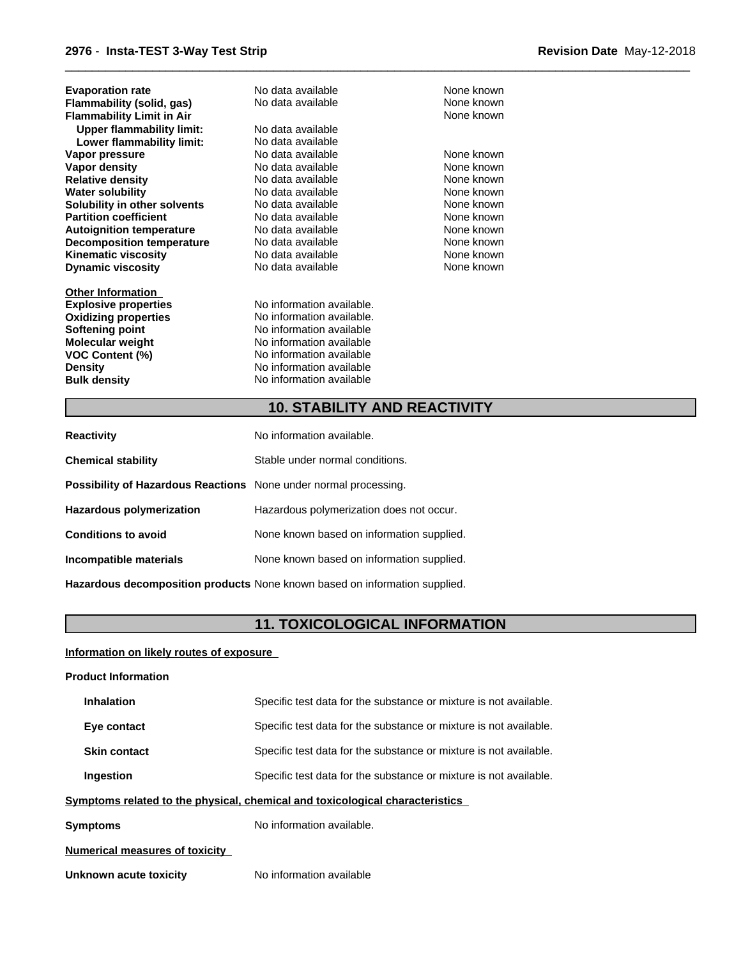| <b>Evaporation rate</b>          | No data available               | None known |
|----------------------------------|---------------------------------|------------|
| Flammability (solid, gas)        | No data available               | None known |
| <b>Flammability Limit in Air</b> |                                 | None known |
| <b>Upper flammability limit:</b> | No data available               |            |
| Lower flammability limit:        | No data available               |            |
| Vapor pressure                   | No data available               | None known |
| Vapor density                    | No data available               | None known |
| <b>Relative density</b>          | No data available               | None known |
| <b>Water solubility</b>          | No data available               | None known |
| Solubility in other solvents     | No data available               | None known |
| <b>Partition coefficient</b>     | None known<br>No data available |            |
| <b>Autoignition temperature</b>  | No data available               | None known |
| <b>Decomposition temperature</b> | No data available               | None known |
| <b>Kinematic viscosity</b>       | No data available               | None known |
| <b>Dynamic viscosity</b>         | No data available               | None known |
| <b>Other Information</b>         |                                 |            |
| <b>Explosive properties</b>      | No information available.       |            |
| <b>Oxidizing properties</b>      | No information available.       |            |
| Softening point                  | No information available        |            |
| Molecular weight                 | No information available        |            |
| <b>VOC Content (%)</b>           | No information available        |            |
| <b>Density</b>                   | No information available        |            |
| <b>Bulk density</b>              | No information available        |            |

# **10. STABILITY AND REACTIVITY**

 $\overline{\phantom{a}}$  ,  $\overline{\phantom{a}}$  ,  $\overline{\phantom{a}}$  ,  $\overline{\phantom{a}}$  ,  $\overline{\phantom{a}}$  ,  $\overline{\phantom{a}}$  ,  $\overline{\phantom{a}}$  ,  $\overline{\phantom{a}}$  ,  $\overline{\phantom{a}}$  ,  $\overline{\phantom{a}}$  ,  $\overline{\phantom{a}}$  ,  $\overline{\phantom{a}}$  ,  $\overline{\phantom{a}}$  ,  $\overline{\phantom{a}}$  ,  $\overline{\phantom{a}}$  ,  $\overline{\phantom{a}}$ 

| <b>Reactivity</b>                                                       | No information available.                 |
|-------------------------------------------------------------------------|-------------------------------------------|
| <b>Chemical stability</b>                                               | Stable under normal conditions.           |
| <b>Possibility of Hazardous Reactions</b> None under normal processing. |                                           |
| Hazardous polymerization                                                | Hazardous polymerization does not occur.  |
| <b>Conditions to avoid</b>                                              | None known based on information supplied. |
| Incompatible materials                                                  | None known based on information supplied. |
|                                                                         |                                           |

**Hazardous decomposition products** None known based on information supplied.

# **11. TOXICOLOGICAL INFORMATION**

**Information on likely routes of exposure**

| <b>Product Information</b> |  |
|----------------------------|--|
|                            |  |

| <b>Inhalation</b>                     | Specific test data for the substance or mixture is not available.            |
|---------------------------------------|------------------------------------------------------------------------------|
| Eye contact                           | Specific test data for the substance or mixture is not available.            |
| <b>Skin contact</b>                   | Specific test data for the substance or mixture is not available.            |
| Ingestion                             | Specific test data for the substance or mixture is not available.            |
|                                       | Symptoms related to the physical, chemical and toxicological characteristics |
| <b>Symptoms</b>                       | No information available.                                                    |
| <b>Numerical measures of toxicity</b> |                                                                              |
| Unknown acute toxicity                | No information available                                                     |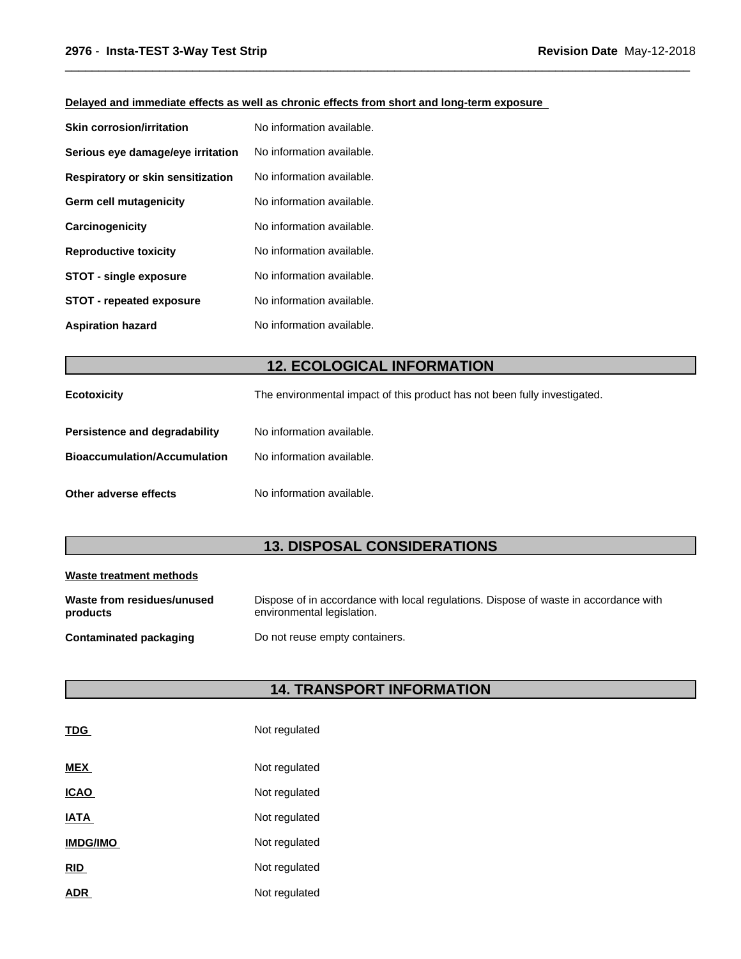### **Delayed and immediate effects as well as chronic effects from short and long-term exposure**

| <b>Skin corrosion/irritation</b>         | No information available. |
|------------------------------------------|---------------------------|
| Serious eye damage/eye irritation        | No information available. |
| <b>Respiratory or skin sensitization</b> | No information available. |
| Germ cell mutagenicity                   | No information available. |
| Carcinogenicity                          | No information available. |
| <b>Reproductive toxicity</b>             | No information available. |
| <b>STOT - single exposure</b>            | No information available. |
| <b>STOT - repeated exposure</b>          | No information available. |
| <b>Aspiration hazard</b>                 | No information available. |

# **12. ECOLOGICAL INFORMATION**

 $\overline{\phantom{a}}$  ,  $\overline{\phantom{a}}$  ,  $\overline{\phantom{a}}$  ,  $\overline{\phantom{a}}$  ,  $\overline{\phantom{a}}$  ,  $\overline{\phantom{a}}$  ,  $\overline{\phantom{a}}$  ,  $\overline{\phantom{a}}$  ,  $\overline{\phantom{a}}$  ,  $\overline{\phantom{a}}$  ,  $\overline{\phantom{a}}$  ,  $\overline{\phantom{a}}$  ,  $\overline{\phantom{a}}$  ,  $\overline{\phantom{a}}$  ,  $\overline{\phantom{a}}$  ,  $\overline{\phantom{a}}$ 

| <b>Ecotoxicity</b>                  | The environmental impact of this product has not been fully investigated. |
|-------------------------------------|---------------------------------------------------------------------------|
| Persistence and degradability       | No information available.                                                 |
| <b>Bioaccumulation/Accumulation</b> | No information available.                                                 |
| Other adverse effects               | No information available.                                                 |

# **13. DISPOSAL CONSIDERATIONS**

| Waste treatment methods                |                                                                                                                    |
|----------------------------------------|--------------------------------------------------------------------------------------------------------------------|
| Waste from residues/unused<br>products | Dispose of in accordance with local regulations. Dispose of waste in accordance with<br>environmental legislation. |
| Contaminated packaging                 | Do not reuse empty containers.                                                                                     |

# **14. TRANSPORT INFORMATION**

| <b>TDG</b>      | Not regulated |
|-----------------|---------------|
| <b>MEX</b>      | Not regulated |
| <u>ICAO</u>     | Not regulated |
| <b>IATA</b>     | Not regulated |
| <b>IMDG/IMO</b> | Not regulated |
| <u>RID</u>      | Not regulated |
| <b>ADR</b>      | Not regulated |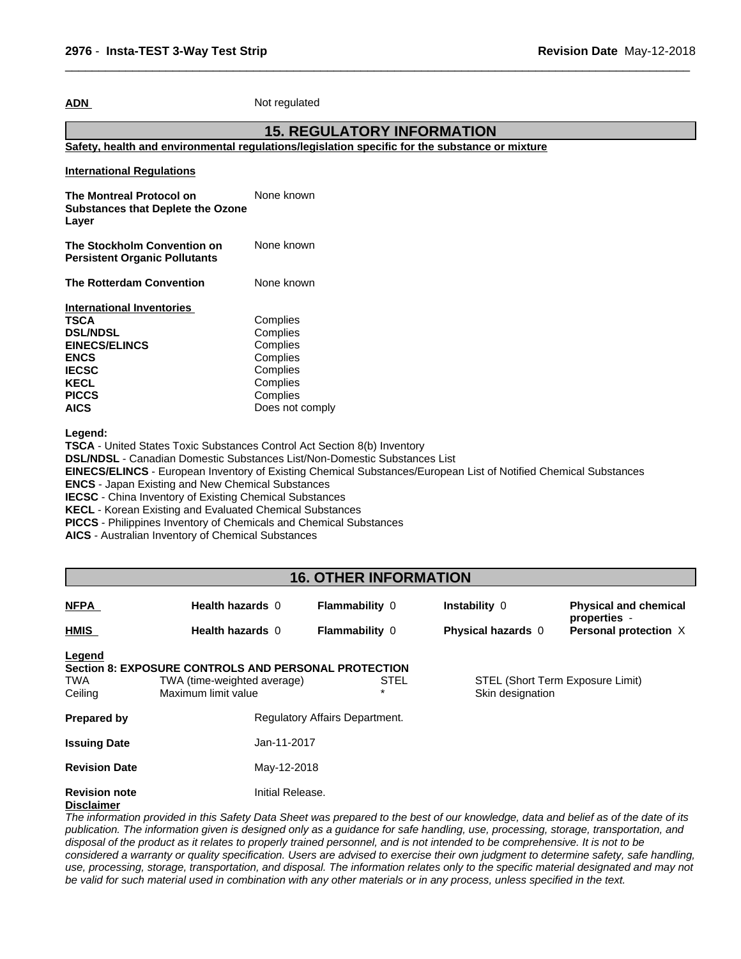**ADN** Not regulated

#### **15. REGULATORY INFORMATION**

 $\overline{\phantom{a}}$  ,  $\overline{\phantom{a}}$  ,  $\overline{\phantom{a}}$  ,  $\overline{\phantom{a}}$  ,  $\overline{\phantom{a}}$  ,  $\overline{\phantom{a}}$  ,  $\overline{\phantom{a}}$  ,  $\overline{\phantom{a}}$  ,  $\overline{\phantom{a}}$  ,  $\overline{\phantom{a}}$  ,  $\overline{\phantom{a}}$  ,  $\overline{\phantom{a}}$  ,  $\overline{\phantom{a}}$  ,  $\overline{\phantom{a}}$  ,  $\overline{\phantom{a}}$  ,  $\overline{\phantom{a}}$ 

**Safety, health and environmental regulations/legislation specific for the substance or mixture**

| <b>International Regulations</b>                                              |                             |
|-------------------------------------------------------------------------------|-----------------------------|
| The Montreal Protocol on<br><b>Substances that Deplete the Ozone</b><br>Layer | None known                  |
| The Stockholm Convention on<br><b>Persistent Organic Pollutants</b>           | None known                  |
| <b>The Rotterdam Convention</b>                                               | None known                  |
| <b>International Inventories</b>                                              |                             |
|                                                                               |                             |
| TSCA                                                                          | Complies                    |
| <b>DSL/NDSL</b>                                                               | Complies                    |
| <b>EINECS/ELINCS</b>                                                          | Complies                    |
| <b>ENCS</b>                                                                   | Complies                    |
| <b>IECSC</b>                                                                  | Complies                    |
| <b>KECL</b>                                                                   | Complies                    |
| <b>PICCS</b><br>AICS                                                          | Complies<br>Does not comply |

**Legend:**

**TSCA** - United States Toxic Substances Control Act Section 8(b) Inventory **DSL/NDSL** - Canadian Domestic Substances List/Non-Domestic Substances List **EINECS/ELINCS** - European Inventory of Existing Chemical Substances/European List of Notified Chemical Substances **ENCS** - Japan Existing and New Chemical Substances **IECSC** - China Inventory of Existing Chemical Substances **KECL** - Korean Existing and Evaluated Chemical Substances **PICCS** - Philippines Inventory of Chemicals and Chemical Substances

**AICS** - Australian Inventory of Chemical Substances

### **16. OTHER INFORMATION**

| <b>NFPA</b>                               | Health hazards 0                                                                                                  | <b>Flammability 0</b>          | Instability 0      | <b>Physical and chemical</b>          |
|-------------------------------------------|-------------------------------------------------------------------------------------------------------------------|--------------------------------|--------------------|---------------------------------------|
| HMIS                                      | Health hazards 0                                                                                                  | <b>Flammability 0</b>          | Physical hazards 0 | properties -<br>Personal protection X |
| <b>Legend</b><br><b>TWA</b><br>Ceiling    | <b>Section 8: EXPOSURE CONTROLS AND PERSONAL PROTECTION</b><br>TWA (time-weighted average)<br>Maximum limit value | <b>STEL</b><br>$\star$         | Skin designation   | STEL (Short Term Exposure Limit)      |
| <b>Prepared by</b>                        |                                                                                                                   | Regulatory Affairs Department. |                    |                                       |
| <b>Issuing Date</b>                       | Jan-11-2017                                                                                                       |                                |                    |                                       |
| <b>Revision Date</b>                      | May-12-2018                                                                                                       |                                |                    |                                       |
| <b>Revision note</b><br><b>Disclaimer</b> | Initial Release.                                                                                                  |                                |                    |                                       |

The information provided in this Safety Data Sheet was prepared to the best of our knowledge, data and belief as of the date of its publication. The information given is designed only as a guidance for safe handling, use, processing, storage, transportation, and disposal of the product as it relates to properly trained personnel, and is not intended to be comprehensive. It is not to be considered a warranty or quality specification. Users are advised to exercise their own judgment to determine safety, safe handling, use, processing, storage, transportation, and disposal. The information relates only to the specific material designated and may not be valid for such material used in combination with any other materials or in any process, unless specified in the text.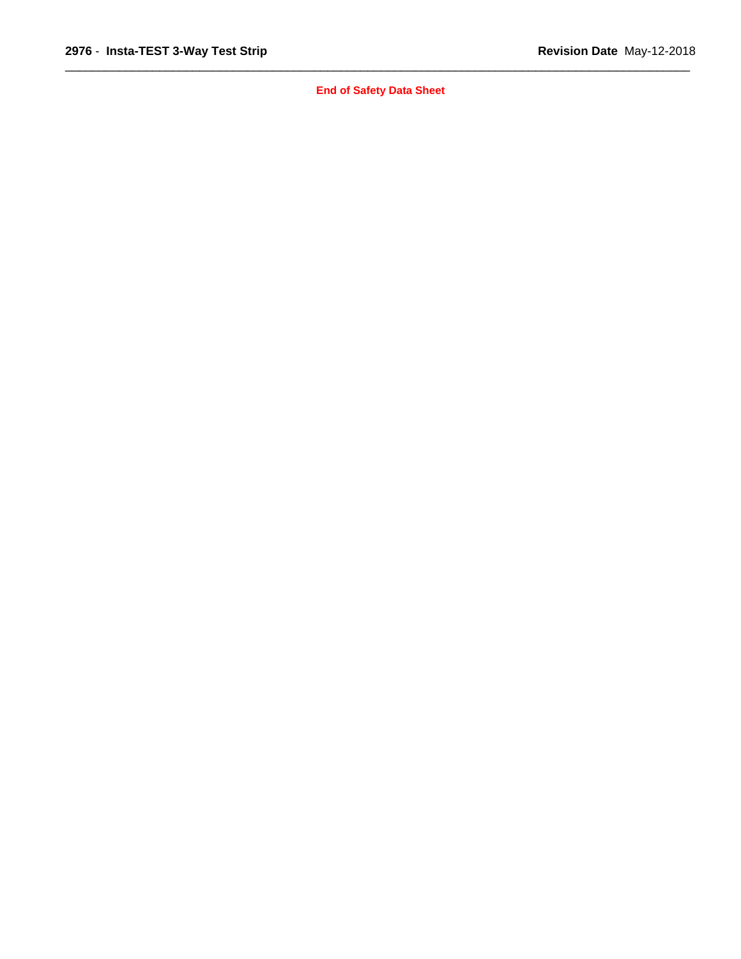**End of Safety Data Sheet**

 $\overline{\phantom{a}}$  ,  $\overline{\phantom{a}}$  ,  $\overline{\phantom{a}}$  ,  $\overline{\phantom{a}}$  ,  $\overline{\phantom{a}}$  ,  $\overline{\phantom{a}}$  ,  $\overline{\phantom{a}}$  ,  $\overline{\phantom{a}}$  ,  $\overline{\phantom{a}}$  ,  $\overline{\phantom{a}}$  ,  $\overline{\phantom{a}}$  ,  $\overline{\phantom{a}}$  ,  $\overline{\phantom{a}}$  ,  $\overline{\phantom{a}}$  ,  $\overline{\phantom{a}}$  ,  $\overline{\phantom{a}}$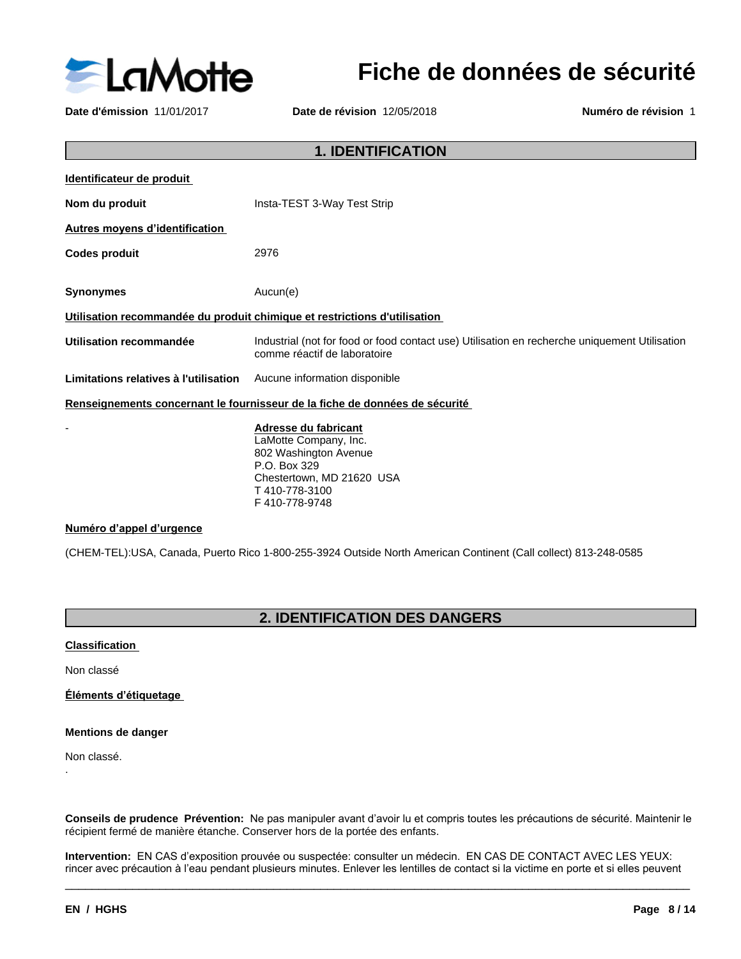

# **Fiche de données de sécurité**

**Date d'émission** 11/01/2017 **Date de révision** 12/05/2018 **Numéro de révision** 1

| <b>1. IDENTIFICATION</b>              |                                                                                                                                      |  |
|---------------------------------------|--------------------------------------------------------------------------------------------------------------------------------------|--|
| Identificateur de produit             |                                                                                                                                      |  |
| Nom du produit                        | Insta-TEST 3-Way Test Strip                                                                                                          |  |
| <b>Autres moyens d'identification</b> |                                                                                                                                      |  |
| <b>Codes produit</b>                  | 2976                                                                                                                                 |  |
|                                       |                                                                                                                                      |  |
| <b>Synonymes</b>                      | Aucun(e)                                                                                                                             |  |
|                                       | Utilisation recommandée du produit chimique et restrictions d'utilisation                                                            |  |
| Utilisation recommandée               | Industrial (not for food or food contact use) Utilisation en recherche uniquement Utilisation<br>comme réactif de laboratoire        |  |
| Limitations relatives à l'utilisation | Aucune information disponible                                                                                                        |  |
|                                       | Renseignements concernant le fournisseur de la fiche de données de sécurité                                                          |  |
|                                       | Adresse du fabricant<br>LaMotte Company, Inc.<br>802 Washington Avenue<br>P.O. Box 329<br>Chestertown, MD 21620 USA<br>T410-778-3100 |  |

#### **Numéro d'appel d'urgence**

(CHEM-TEL):USA, Canada, Puerto Rico 1-800-255-3924 Outside North American Continent (Call collect) 813-248-0585

F 410-778-9748

# **2. IDENTIFICATION DES DANGERS**

#### **Classification**

Non classé

**Éléments d'étiquetage** 

#### **Mentions de danger**

Non classé.

.

Conseils de prudence Prévention: Ne pas manipuler avant d'avoir lu et compris toutes les précautions de sécurité. Maintenir le récipient fermé de manière étanche. Conserver hors de la portée des enfants.

Intervention: EN CAS d'exposition prouvée ou suspectée: consulter un médecin. EN CAS DE CONTACT AVEC LES YEUX: rincer avec précaution à l'eau pendant plusieurs minutes. Enlever les lentilles de contact si la victime en porte et si elles peuvent

 $\overline{\phantom{a}}$  ,  $\overline{\phantom{a}}$  ,  $\overline{\phantom{a}}$  ,  $\overline{\phantom{a}}$  ,  $\overline{\phantom{a}}$  ,  $\overline{\phantom{a}}$  ,  $\overline{\phantom{a}}$  ,  $\overline{\phantom{a}}$  ,  $\overline{\phantom{a}}$  ,  $\overline{\phantom{a}}$  ,  $\overline{\phantom{a}}$  ,  $\overline{\phantom{a}}$  ,  $\overline{\phantom{a}}$  ,  $\overline{\phantom{a}}$  ,  $\overline{\phantom{a}}$  ,  $\overline{\phantom{a}}$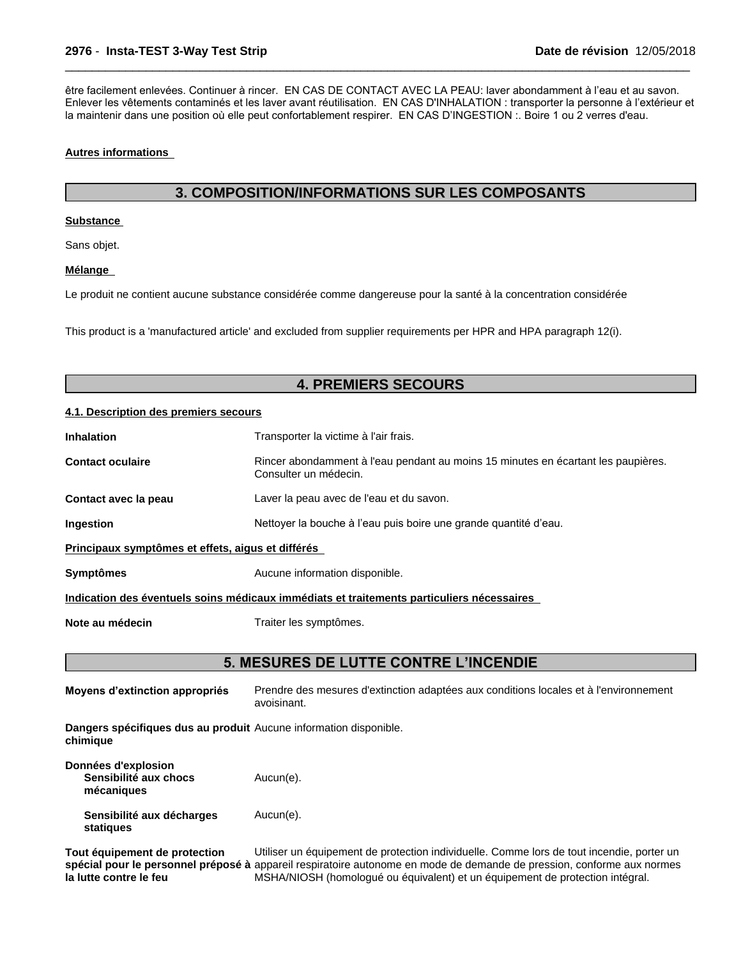être facilement enlevées. Continuer à rincer. EN CAS DE CONTACT AVEC LA PEAU: laver abondamment à l'eau et au savon. Enlever les vêtements contaminés et les laver avant réutilisation. EN CAS D'INHALATION : transporter la personne à l'extérieur et la maintenir dans une position où elle peut confortablement respirer. EN CAS D'INGESTION: Boire 1 ou 2 verres d'eau.

 $\overline{\phantom{a}}$  ,  $\overline{\phantom{a}}$  ,  $\overline{\phantom{a}}$  ,  $\overline{\phantom{a}}$  ,  $\overline{\phantom{a}}$  ,  $\overline{\phantom{a}}$  ,  $\overline{\phantom{a}}$  ,  $\overline{\phantom{a}}$  ,  $\overline{\phantom{a}}$  ,  $\overline{\phantom{a}}$  ,  $\overline{\phantom{a}}$  ,  $\overline{\phantom{a}}$  ,  $\overline{\phantom{a}}$  ,  $\overline{\phantom{a}}$  ,  $\overline{\phantom{a}}$  ,  $\overline{\phantom{a}}$ 

#### **Autres informations**

### **3. COMPOSITION/INFORMATIONS SUR LES COMPOSANTS**

#### **Substance**

Sans objet.

#### **Mélange**

Le produit ne contient aucune substance considérée comme dangereuse pour la santé à la concentration considérée

This product is a 'manufactured article' and excluded from supplier requirements per HPR and HPA paragraph 12(i).

### **4. PREMIERS SECOURS**

#### **4.1. Description des premiers secours**

| <b>Inhalation</b>                                 | Transporter la victime à l'air frais.                                                                      |  |
|---------------------------------------------------|------------------------------------------------------------------------------------------------------------|--|
| <b>Contact oculaire</b>                           | Rincer abondamment à l'eau pendant au moins 15 minutes en écartant les paupières.<br>Consulter un médecin. |  |
| Contact avec la peau                              | Laver la peau avec de l'eau et du savon.                                                                   |  |
| Ingestion                                         | Nettoyer la bouche à l'eau puis boire une grande quantité d'eau.                                           |  |
| Principaux symptômes et effets, aigus et différés |                                                                                                            |  |
|                                                   |                                                                                                            |  |

**Symptômes** Aucune information disponible.

**Indication des éventuels soins médicaux immédiats et traitements particuliers nécessaires**

**Note au médecin** Traiter les symptômes.

### **5. MESURES DE LUTTE CONTRE L'INCENDIE**

| Moyens d'extinction appropriés                                                | Prendre des mesures d'extinction adaptées aux conditions locales et à l'environnement<br>avoisinant.                                                                                                                                                                                                 |
|-------------------------------------------------------------------------------|------------------------------------------------------------------------------------------------------------------------------------------------------------------------------------------------------------------------------------------------------------------------------------------------------|
| Dangers spécifiques dus au produit Aucune information disponible.<br>chimique |                                                                                                                                                                                                                                                                                                      |
| Données d'explosion<br>Sensibilité aux chocs<br>mécaniques                    | Aucun(e).                                                                                                                                                                                                                                                                                            |
| Sensibilité aux décharges<br>statiques                                        | Aucun(e).                                                                                                                                                                                                                                                                                            |
| Tout équipement de protection<br>la lutte contre le feu                       | Utiliser un équipement de protection individuelle. Comme lors de tout incendie, porter un<br>spécial pour le personnel préposé à appareil respiratoire autonome en mode de demande de pression, conforme aux normes<br>MSHA/NIOSH (homologué ou équivalent) et un équipement de protection intégral. |

MSHA/NIOSH (homologué ou équivalent) et un équipement de protection intégral.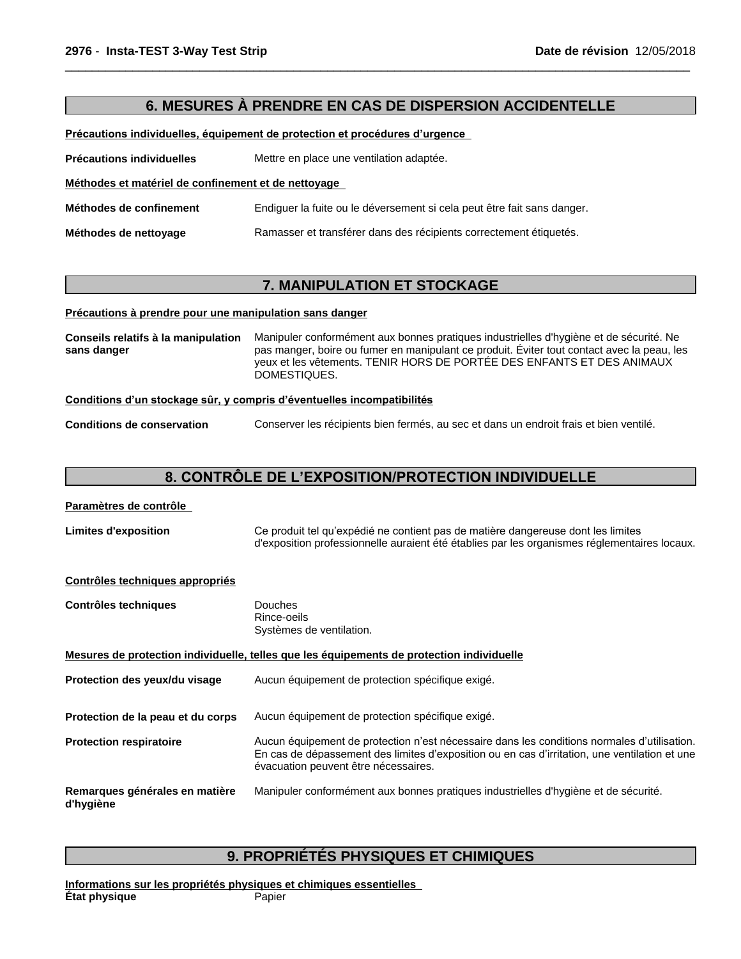### **6. MESURES À PRENDRE EN CAS DE DISPERSION ACCIDENTELLE**

 $\overline{\phantom{a}}$  ,  $\overline{\phantom{a}}$  ,  $\overline{\phantom{a}}$  ,  $\overline{\phantom{a}}$  ,  $\overline{\phantom{a}}$  ,  $\overline{\phantom{a}}$  ,  $\overline{\phantom{a}}$  ,  $\overline{\phantom{a}}$  ,  $\overline{\phantom{a}}$  ,  $\overline{\phantom{a}}$  ,  $\overline{\phantom{a}}$  ,  $\overline{\phantom{a}}$  ,  $\overline{\phantom{a}}$  ,  $\overline{\phantom{a}}$  ,  $\overline{\phantom{a}}$  ,  $\overline{\phantom{a}}$ 

Précautions individuelles, équipement de protection et procédures d'urgence

**Précautions individuelles** Mettre en place une ventilation adaptée.

**Méthodes et matérielde confinement et de nettoyage**

**Méthodes de confinement** Endiguer la fuite ou le déversement sicela peut être fait sans danger.

**Méthodes de nettoyage** Ramasser et transférer dans des récipients correctement étiquetés.

### **7. MANIPULATION ET STOCKAGE**

#### **Précautions à prendre pour une manipulation sans danger**

|--|

#### Conditions d'un stockage sûr, y compris d'éventuelles incompatibilités

**Conditions de conservation** Conserver les récipients bien fermés, au sec et dans un endroit frais et bien ventilé.

### **8.CONTRÔLEDEL'EXPOSITION/PROTECTIONINDIVIDUELLE**

#### **Paramètres de contrôle**

| <b>Limites d'exposition</b> | Ce produit tel qu'expédié ne contient pas de matière dangereuse dont les limites             |
|-----------------------------|----------------------------------------------------------------------------------------------|
|                             | d'exposition professionnelle auraient été établies par les organismes réglementaires locaux. |

#### **Contrôles techniques appropriés**

| <b>Contrôles techniques</b>                 | <b>Douches</b><br>Rince-oeils<br>Systèmes de ventilation.                                                                                                                                                                            |
|---------------------------------------------|--------------------------------------------------------------------------------------------------------------------------------------------------------------------------------------------------------------------------------------|
|                                             | Mesures de protection individuelle, telles que les équipements de protection individuelle                                                                                                                                            |
| Protection des yeux/du visage               | Aucun équipement de protection spécifique exigé.                                                                                                                                                                                     |
| Protection de la peau et du corps           | Aucun équipement de protection spécifique exigé.                                                                                                                                                                                     |
| <b>Protection respiratoire</b>              | Aucun équipement de protection n'est nécessaire dans les conditions normales d'utilisation.<br>En cas de dépassement des limites d'exposition ou en cas d'irritation, une ventilation et une<br>évacuation peuvent être nécessaires. |
| Remarques générales en matière<br>d'hygiène | Manipuler conformément aux bonnes pratiques industrielles d'hygiène et de sécurité.                                                                                                                                                  |

### **9. PROPRIÉTÉS PHYSIQUES ET CHIMIQUES**

**Informations sur les propriétés physiques et chimiques essentielles État physique** Papier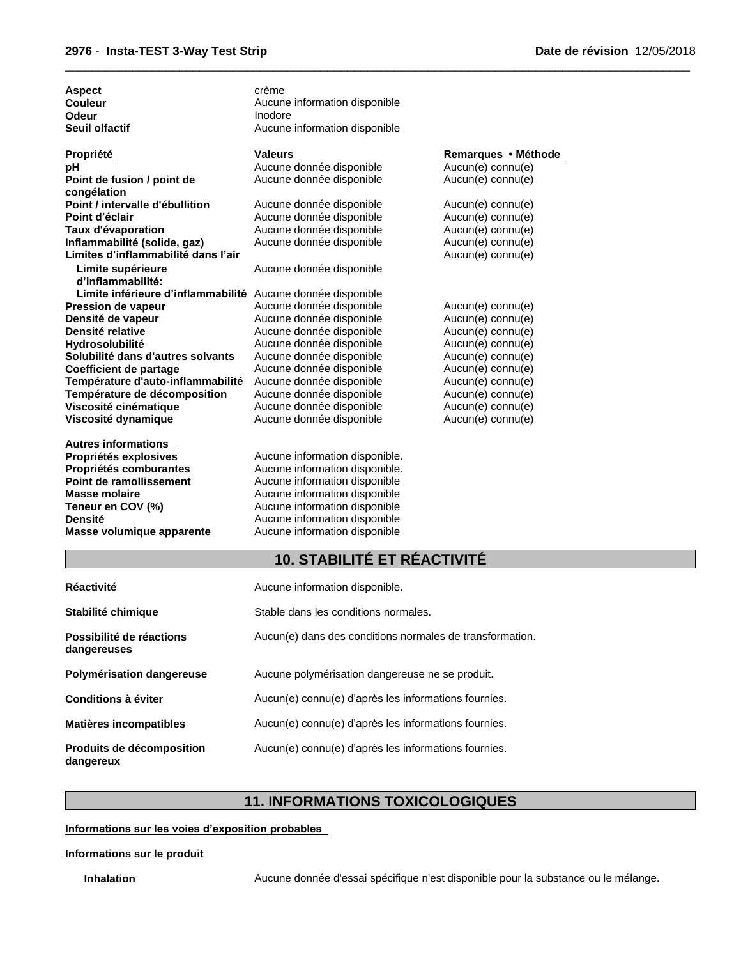Aspect **Calculation** Crème

|  |  | Date de révision 12/05/2018 |
|--|--|-----------------------------|
|--|--|-----------------------------|

| Couleur                                                     | Aucune information disponible  |                     |  |  |
|-------------------------------------------------------------|--------------------------------|---------------------|--|--|
| Odeur                                                       | Inodore                        |                     |  |  |
| Seuil olfactif                                              | Aucune information disponible  |                     |  |  |
| Propriété                                                   | <b>Valeurs</b>                 | Remarques • Méthode |  |  |
| pН                                                          | Aucune donnée disponible       | Aucun(e) connu(e)   |  |  |
| Point de fusion / point de                                  | Aucune donnée disponible       | Aucun(e) connu(e)   |  |  |
| congélation                                                 |                                |                     |  |  |
| Point / intervalle d'ébullition                             | Aucune donnée disponible       | Aucun(e) connu(e)   |  |  |
| Point d'éclair                                              | Aucune donnée disponible       | Aucun(e) connu(e)   |  |  |
| Taux d'évaporation                                          | Aucune donnée disponible       | Aucun(e) connu(e)   |  |  |
| Inflammabilité (solide, gaz)                                | Aucune donnée disponible       | Aucun(e) connu(e)   |  |  |
| Limites d'inflammabilité dans l'air                         |                                | $Aucun(e)$ connu(e) |  |  |
| Limite supérieure                                           | Aucune donnée disponible       |                     |  |  |
| d'inflammabilité:                                           |                                |                     |  |  |
| Limite inférieure d'inflammabilité Aucune donnée disponible |                                |                     |  |  |
| Pression de vapeur                                          | Aucune donnée disponible       | Aucun(e) connu(e)   |  |  |
| Densité de vapeur                                           | Aucune donnée disponible       | Aucun(e) connu(e)   |  |  |
| Densité relative                                            | Aucune donnée disponible       | Aucun(e) connu(e)   |  |  |
| Hydrosolubilité                                             | Aucune donnée disponible       | Aucun(e) connu(e)   |  |  |
| Solubilité dans d'autres solvants                           | Aucune donnée disponible       | Aucun(e) connu(e)   |  |  |
| <b>Coefficient de partage</b>                               | Aucune donnée disponible       | Aucun(e) connu(e)   |  |  |
| Température d'auto-inflammabilité                           | Aucune donnée disponible       | $Aucun(e)$ connu(e) |  |  |
| Température de décomposition                                | Aucune donnée disponible       | Aucun(e) connu(e)   |  |  |
| Viscosité cinématique                                       | Aucune donnée disponible       | Aucun(e) connu(e)   |  |  |
| Viscosité dynamique                                         | Aucune donnée disponible       | $Aucun(e)$ connu(e) |  |  |
| Autres informations                                         |                                |                     |  |  |
| Propriétés explosives                                       | Aucune information disponible. |                     |  |  |

**Propriétés comburantes**<br> **Point de ramollissement**Aucune information disponible<br>
Aucune information disponible **Point de ramollissement** Aucune information disponible<br> **Masse molaire** Aucune information disponible **Masse molaire Aucune information disponible**<br> **Teneur en COV (%)** Aucune information disponible **Teneur en COV (%)**<br> **Aucune information disponible**<br> **Aucune information disponible Densité**<br> **Masse volumique apparente**<br>
Aucune information disponible<br> **Masse volumique apparente**<br>
Aucune information disponible

### **10. STABILITÉ ET RÉACTIVITÉ**

 $\overline{\phantom{a}}$  ,  $\overline{\phantom{a}}$  ,  $\overline{\phantom{a}}$  ,  $\overline{\phantom{a}}$  ,  $\overline{\phantom{a}}$  ,  $\overline{\phantom{a}}$  ,  $\overline{\phantom{a}}$  ,  $\overline{\phantom{a}}$  ,  $\overline{\phantom{a}}$  ,  $\overline{\phantom{a}}$  ,  $\overline{\phantom{a}}$  ,  $\overline{\phantom{a}}$  ,  $\overline{\phantom{a}}$  ,  $\overline{\phantom{a}}$  ,  $\overline{\phantom{a}}$  ,  $\overline{\phantom{a}}$ 

| <b>Réactivité</b>                       | Aucune information disponible.                           |
|-----------------------------------------|----------------------------------------------------------|
| Stabilité chimique                      | Stable dans les conditions normales.                     |
| Possibilité de réactions<br>dangereuses | Aucun(e) dans des conditions normales de transformation. |
| Polymérisation dangereuse               | Aucune polymérisation dangereuse ne se produit.          |
| Conditions à éviter                     | Aucun(e) connu(e) d'après les informations fournies.     |
| <b>Matières incompatibles</b>           | Aucun(e) connu(e) d'après les informations fournies.     |
| Produits de décomposition<br>dangereux  | Aucun(e) connu(e) d'après les informations fournies.     |

**Masse volumique apparente** Aucune information disponible

# **11. INFORMATIONS TOXICOLOGIQUES**

#### **Informations sur les voies d'exposition probables**

#### **Informations sur le produit**

Inhalation **Aucune donnée d'essai spécifique n'est disponible pour la substance ou le mélange.**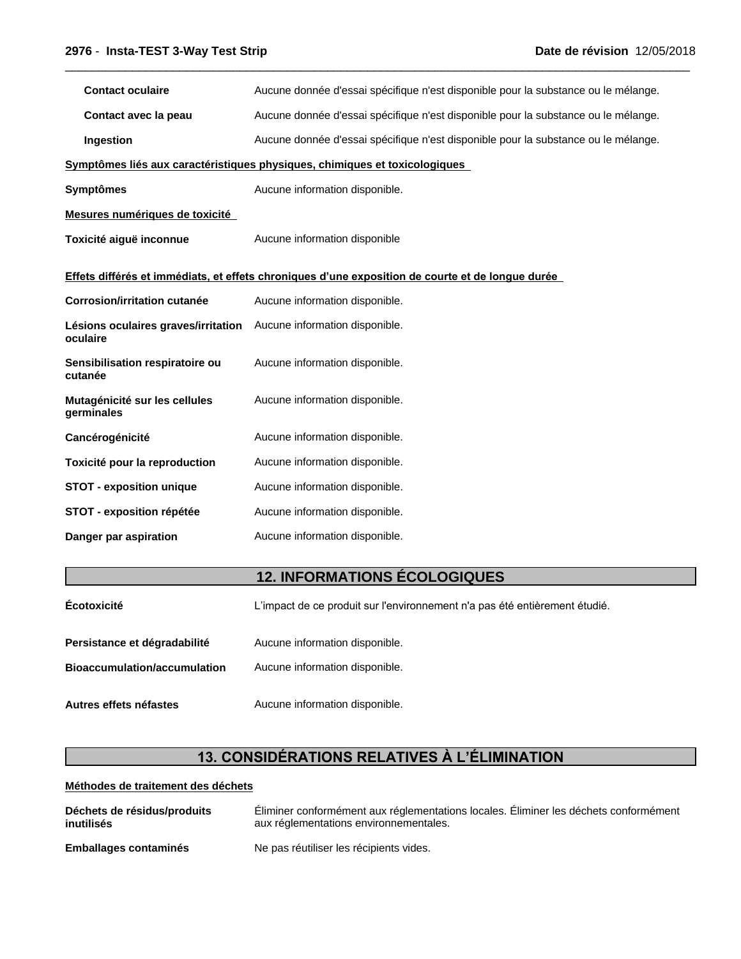| Aucune donnée d'essai spécifique n'est disponible pour la substance ou le mélange.               |  |  |  |
|--------------------------------------------------------------------------------------------------|--|--|--|
| Aucune donnée d'essai spécifique n'est disponible pour la substance ou le mélange.               |  |  |  |
| Aucune donnée d'essai spécifique n'est disponible pour la substance ou le mélange.               |  |  |  |
| Symptômes liés aux caractéristiques physiques, chimiques et toxicologiques                       |  |  |  |
| Aucune information disponible.                                                                   |  |  |  |
|                                                                                                  |  |  |  |
| Aucune information disponible                                                                    |  |  |  |
| Effets différés et immédiats, et effets chroniques d'une exposition de courte et de longue durée |  |  |  |
| Aucune information disponible.                                                                   |  |  |  |
| Lésions oculaires graves/irritation Aucune information disponible.                               |  |  |  |
| Aucune information disponible.                                                                   |  |  |  |
| Aucune information disponible.                                                                   |  |  |  |
| Aucune information disponible.                                                                   |  |  |  |
| Aucune information disponible.                                                                   |  |  |  |
| Aucune information disponible.                                                                   |  |  |  |
| Aucune information disponible.                                                                   |  |  |  |
| Aucune information disponible.                                                                   |  |  |  |
|                                                                                                  |  |  |  |

 $\overline{\phantom{a}}$  ,  $\overline{\phantom{a}}$  ,  $\overline{\phantom{a}}$  ,  $\overline{\phantom{a}}$  ,  $\overline{\phantom{a}}$  ,  $\overline{\phantom{a}}$  ,  $\overline{\phantom{a}}$  ,  $\overline{\phantom{a}}$  ,  $\overline{\phantom{a}}$  ,  $\overline{\phantom{a}}$  ,  $\overline{\phantom{a}}$  ,  $\overline{\phantom{a}}$  ,  $\overline{\phantom{a}}$  ,  $\overline{\phantom{a}}$  ,  $\overline{\phantom{a}}$  ,  $\overline{\phantom{a}}$ 

# **12. INFORMATIONS ÉCOLOGIQUES**

| Écotoxicité                                                         | L'impact de ce produit sur l'environnement n'a pas été entièrement étudié. |  |  |  |
|---------------------------------------------------------------------|----------------------------------------------------------------------------|--|--|--|
| Persistance et dégradabilité<br><b>Bioaccumulation/accumulation</b> | Aucune information disponible.<br>Aucune information disponible.           |  |  |  |
| Autres effets néfastes                                              | Aucune information disponible.                                             |  |  |  |

# **13.CONSIDÉRATIONSRELATIVESÀL'ÉLIMINATION**

### **Méthodes de traitement des déchets**

| Déchets de résidus/produits  | Éliminer conformément aux réglementations locales. Éliminer les déchets conformément |
|------------------------------|--------------------------------------------------------------------------------------|
| inutilisés                   | aux réglementations environnementales.                                               |
| <b>Emballages contaminés</b> | Ne pas réutiliser les récipients vides.                                              |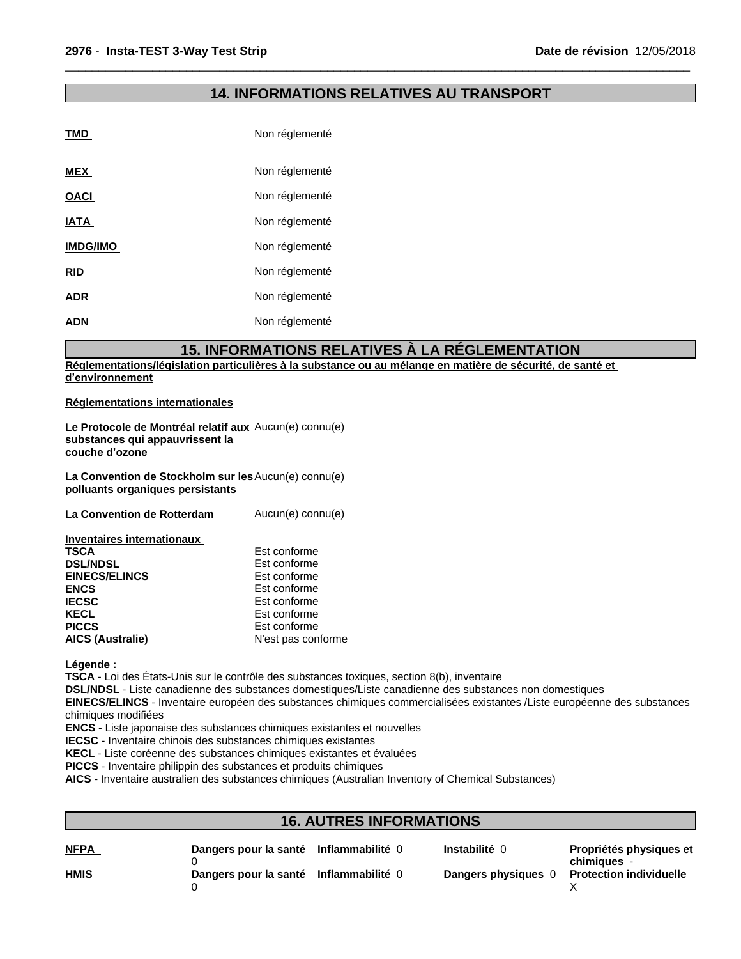### **14. INFORMATIONS RELATIVES AU TRANSPORT**

 $\overline{\phantom{a}}$  ,  $\overline{\phantom{a}}$  ,  $\overline{\phantom{a}}$  ,  $\overline{\phantom{a}}$  ,  $\overline{\phantom{a}}$  ,  $\overline{\phantom{a}}$  ,  $\overline{\phantom{a}}$  ,  $\overline{\phantom{a}}$  ,  $\overline{\phantom{a}}$  ,  $\overline{\phantom{a}}$  ,  $\overline{\phantom{a}}$  ,  $\overline{\phantom{a}}$  ,  $\overline{\phantom{a}}$  ,  $\overline{\phantom{a}}$  ,  $\overline{\phantom{a}}$  ,  $\overline{\phantom{a}}$ 

| <b>TMD</b>      | Non réglementé |
|-----------------|----------------|
| <b>MEX</b>      | Non réglementé |
| <b>OACI</b>     | Non réglementé |
| <b>IATA</b>     | Non réglementé |
| <b>IMDG/IMO</b> | Non réglementé |
| <b>RID</b>      | Non réglementé |
| <b>ADR</b>      | Non réglementé |
| <b>ADN</b>      | Non réglementé |

### **15. INFORMATIONS RELATIVES À LA RÉGLEMENTATION**

**Réglementations/législation particulières à la substance ou au mélange en matière de sécurité, de santé et d'environnement**

#### **Réglementations internationales**

**Le Protocole de Montréal relatif aux** Aucun(e) connu(e) **substances qui appauvrissent la** couche d'ozone

**La Convention de Stockholm sur les** Aucun(e) connu(e) **polluants organiques persistants**

**La Convention de Rotterdam** Aucun(e) connu(e)

| <b>Inventaires internationaux</b> |                    |  |
|-----------------------------------|--------------------|--|
| <b>TSCA</b>                       | Est conforme       |  |
| <b>DSL/NDSL</b>                   | Est conforme       |  |
| <b>EINECS/ELINCS</b>              | Est conforme       |  |
| <b>ENCS</b>                       | Est conforme       |  |
| <b>IECSC</b>                      | Est conforme       |  |
| <b>KECL</b>                       | Est conforme       |  |
| <b>PICCS</b>                      | Est conforme       |  |
| <b>AICS (Australie)</b>           | N'est pas conforme |  |

**Légende :**

**TSCA** - Loi des États-Unis sur le contrôle des substances toxiques, section 8(b), inventaire

**DSL/NDSL** - Liste canadienne des substances domestiques/Liste canadienne des substances non domestiques

**EINECS/ELINCS** - Inventaire européen des substances chimiques commercialisées existantes /Liste européenne des substances chimiques modifiées

**ENCS** - Liste japonaise des substances chimiques existantes et nouvelles

**IECSC** - Inventaire chinois des substances chimiques existantes

**KECL** - Liste coréenne des substances chimiques existantes et évaluées

**PICCS** - Inventaire philippin des substances et produits chimiques

**AICS** - Inventaire australien des substances chimiques (Australian Inventory of Chemical Substances)

### **16. AUTRES INFORMATIONS**

| <b>NFPA</b> | Dangers pour la santé | Inflammabilité 0 | Instabilité 0       | Propriétés physiques et<br>chimiques - |
|-------------|-----------------------|------------------|---------------------|----------------------------------------|
| <b>HMIS</b> | Dangers pour la santé | Inflammabilité 0 | Dangers physiques 0 | <b>Protection individuelle</b>         |